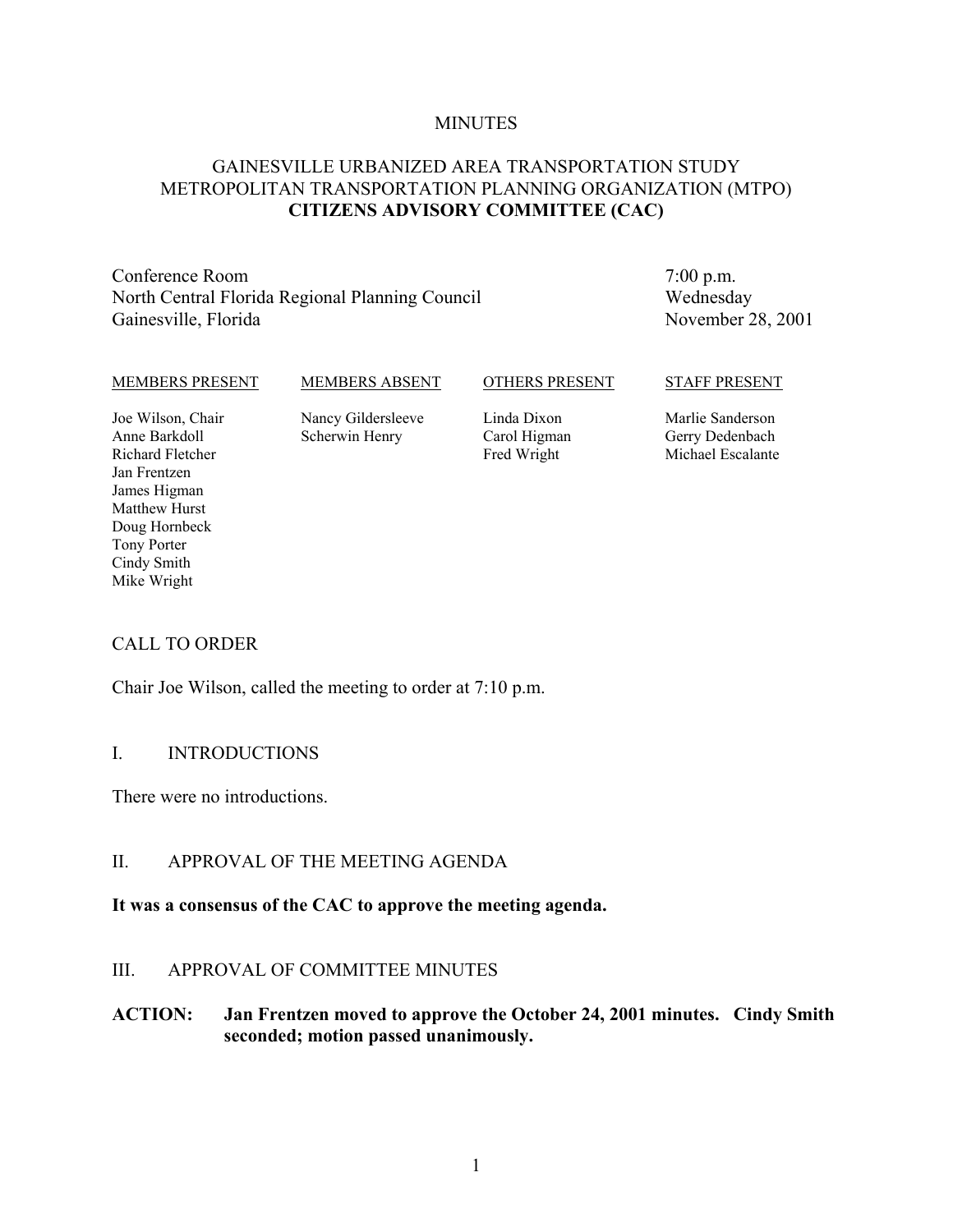#### **MINUTES**

# GAINESVILLE URBANIZED AREA TRANSPORTATION STUDY METROPOLITAN TRANSPORTATION PLANNING ORGANIZATION (MTPO) **CITIZENS ADVISORY COMMITTEE (CAC)**

Conference Room North Central Florida Regional Planning Council Gainesville, Florida

7:00 p.m. Wednesday November 28, 2001

#### MEMBERS PRESENT

MEMBERS ABSENT

#### OTHERS PRESENT

#### STAFF PRESENT

Joe Wilson, Chair Anne Barkdoll Richard Fletcher Jan Frentzen James Higman Matthew Hurst Doug Hornbeck Tony Porter Cindy Smith Mike Wright

Nancy Gildersleeve Scherwin Henry

Linda Dixon Carol Higman Fred Wright

Marlie Sanderson Gerry Dedenbach Michael Escalante

#### CALL TO ORDER

Chair Joe Wilson, called the meeting to order at 7:10 p.m.

#### I. INTRODUCTIONS

There were no introductions.

#### II. APPROVAL OF THE MEETING AGENDA

#### **It was a consensus of the CAC to approve the meeting agenda.**

#### III. APPROVAL OF COMMITTEE MINUTES

## **ACTION: Jan Frentzen moved to approve the October 24, 2001 minutes. Cindy Smith seconded; motion passed unanimously.**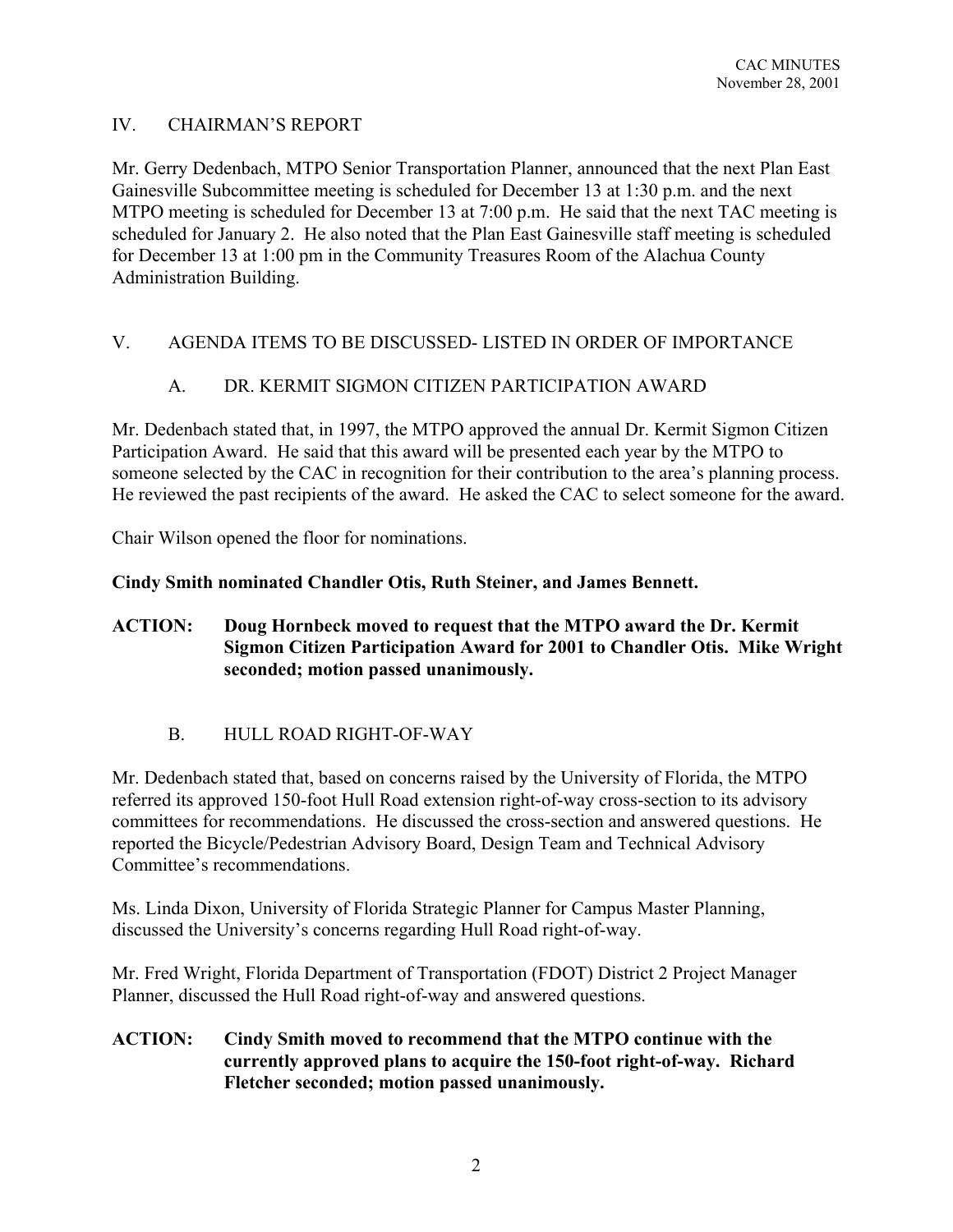# IV. CHAIRMAN'S REPORT

Mr. Gerry Dedenbach, MTPO Senior Transportation Planner, announced that the next Plan East Gainesville Subcommittee meeting is scheduled for December 13 at 1:30 p.m. and the next MTPO meeting is scheduled for December 13 at 7:00 p.m. He said that the next TAC meeting is scheduled for January 2. He also noted that the Plan East Gainesville staff meeting is scheduled for December 13 at 1:00 pm in the Community Treasures Room of the Alachua County Administration Building.

# V. AGENDA ITEMS TO BE DISCUSSED- LISTED IN ORDER OF IMPORTANCE

# A. DR. KERMIT SIGMON CITIZEN PARTICIPATION AWARD

Mr. Dedenbach stated that, in 1997, the MTPO approved the annual Dr. Kermit Sigmon Citizen Participation Award. He said that this award will be presented each year by the MTPO to someone selected by the CAC in recognition for their contribution to the area's planning process. He reviewed the past recipients of the award. He asked the CAC to select someone for the award.

Chair Wilson opened the floor for nominations.

## **Cindy Smith nominated Chandler Otis, Ruth Steiner, and James Bennett.**

## **ACTION: Doug Hornbeck moved to request that the MTPO award the Dr. Kermit Sigmon Citizen Participation Award for 2001 to Chandler Otis. Mike Wright seconded; motion passed unanimously.**

# B. HULL ROAD RIGHT-OF-WAY

Mr. Dedenbach stated that, based on concerns raised by the University of Florida, the MTPO referred its approved 150-foot Hull Road extension right-of-way cross-section to its advisory committees for recommendations. He discussed the cross-section and answered questions. He reported the Bicycle/Pedestrian Advisory Board, Design Team and Technical Advisory Committee's recommendations.

Ms. Linda Dixon, University of Florida Strategic Planner for Campus Master Planning, discussed the University's concerns regarding Hull Road right-of-way.

Mr. Fred Wright, Florida Department of Transportation (FDOT) District 2 Project Manager Planner, discussed the Hull Road right-of-way and answered questions.

## **ACTION: Cindy Smith moved to recommend that the MTPO continue with the currently approved plans to acquire the 150-foot right-of-way. Richard Fletcher seconded; motion passed unanimously.**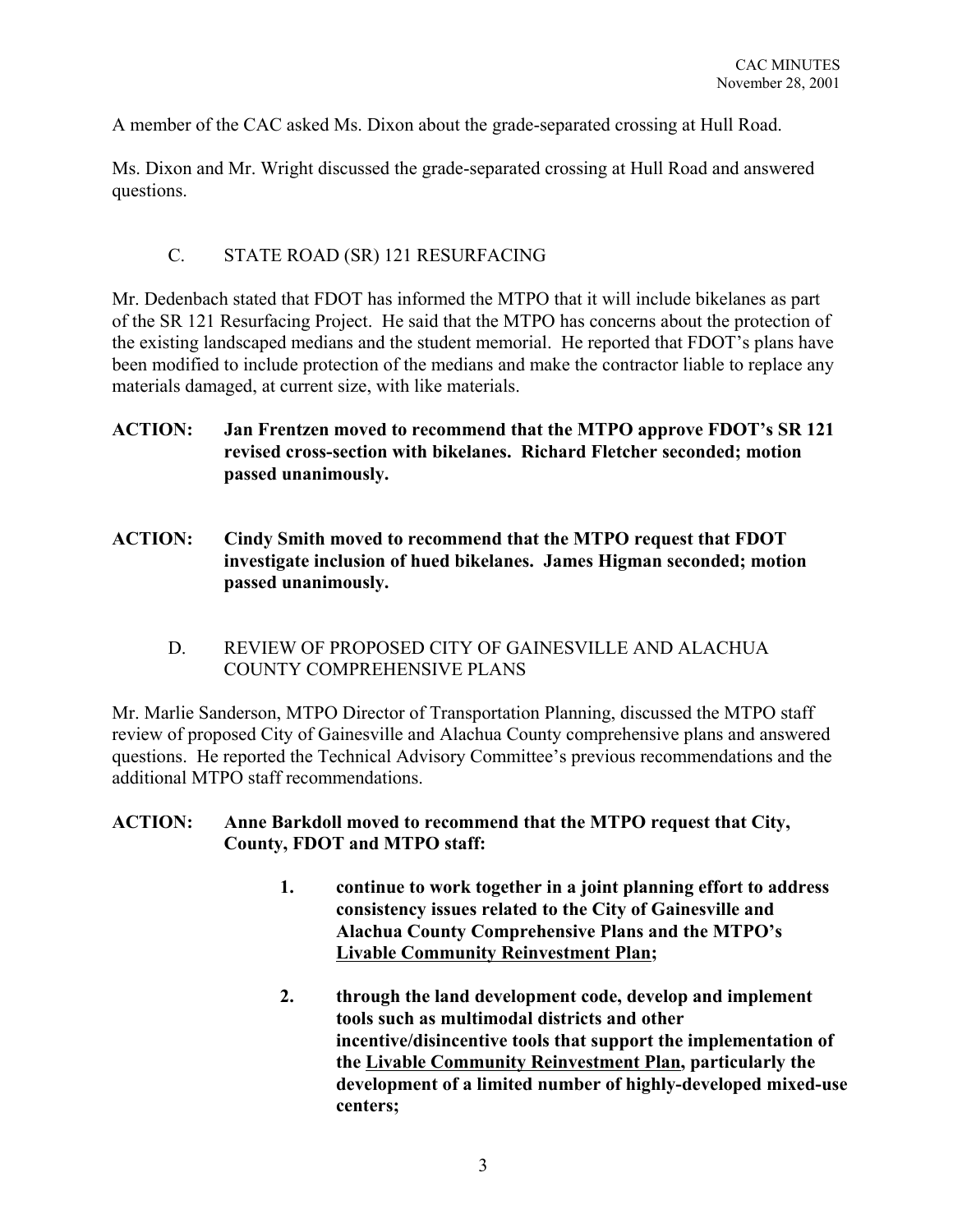A member of the CAC asked Ms. Dixon about the grade-separated crossing at Hull Road.

Ms. Dixon and Mr. Wright discussed the grade-separated crossing at Hull Road and answered questions.

## C. STATE ROAD (SR) 121 RESURFACING

Mr. Dedenbach stated that FDOT has informed the MTPO that it will include bikelanes as part of the SR 121 Resurfacing Project. He said that the MTPO has concerns about the protection of the existing landscaped medians and the student memorial. He reported that FDOT's plans have been modified to include protection of the medians and make the contractor liable to replace any materials damaged, at current size, with like materials.

- **ACTION: Jan Frentzen moved to recommend that the MTPO approve FDOT's SR 121 revised cross-section with bikelanes. Richard Fletcher seconded; motion passed unanimously.**
- **ACTION: Cindy Smith moved to recommend that the MTPO request that FDOT investigate inclusion of hued bikelanes. James Higman seconded; motion passed unanimously.**
	- D. REVIEW OF PROPOSED CITY OF GAINESVILLE AND ALACHUA COUNTY COMPREHENSIVE PLANS

Mr. Marlie Sanderson, MTPO Director of Transportation Planning, discussed the MTPO staff review of proposed City of Gainesville and Alachua County comprehensive plans and answered questions. He reported the Technical Advisory Committee's previous recommendations and the additional MTPO staff recommendations.

**ACTION: Anne Barkdoll moved to recommend that the MTPO request that City, County, FDOT and MTPO staff:**

- **1. continue to work together in a joint planning effort to address consistency issues related to the City of Gainesville and Alachua County Comprehensive Plans and the MTPO's Livable Community Reinvestment Plan;**
- **2. through the land development code, develop and implement tools such as multimodal districts and other incentive/disincentive tools that support the implementation of the Livable Community Reinvestment Plan, particularly the development of a limited number of highly-developed mixed-use centers;**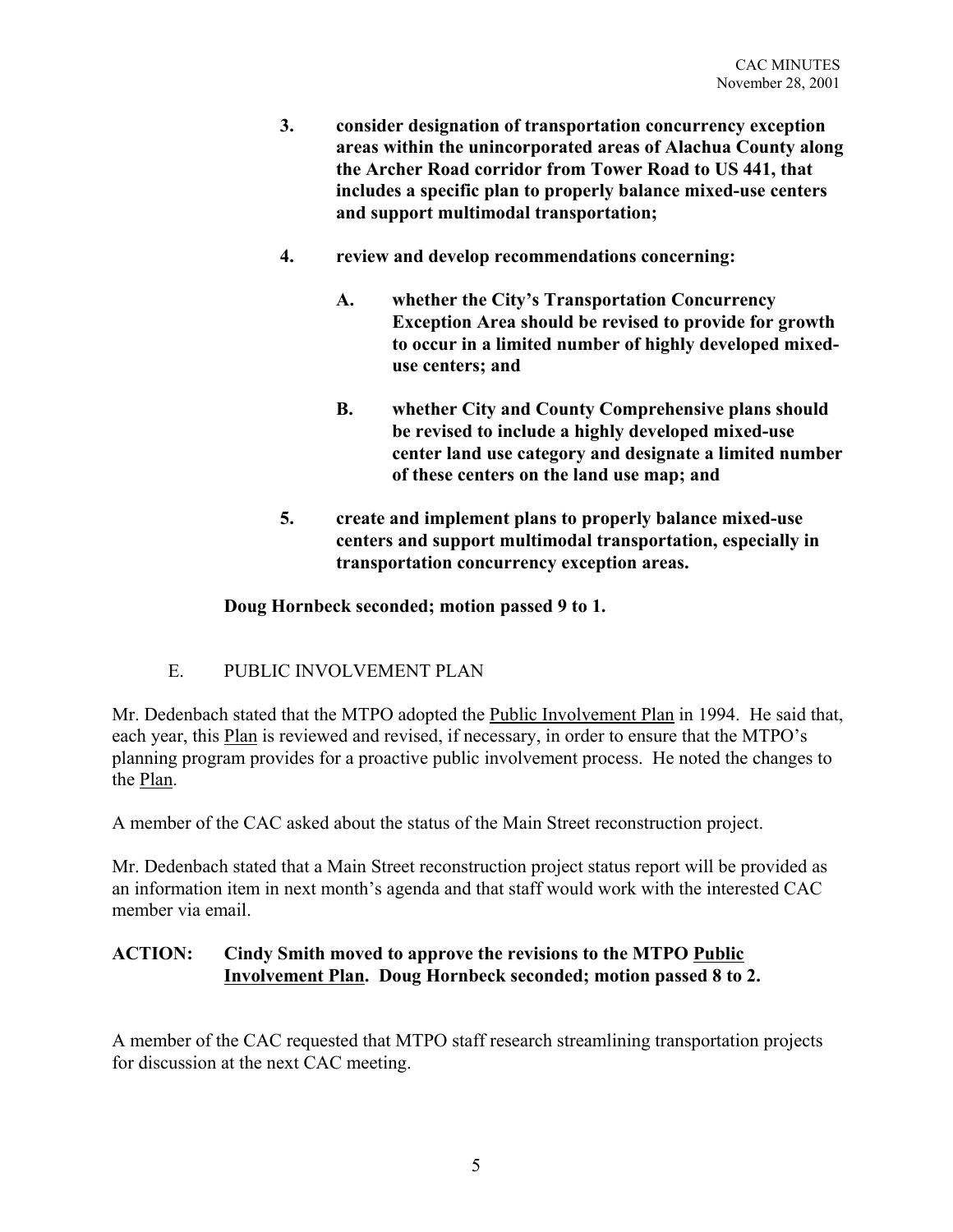- **3. consider designation of transportation concurrency exception areas within the unincorporated areas of Alachua County along the Archer Road corridor from Tower Road to US 441, that includes a specific plan to properly balance mixed-use centers and support multimodal transportation;**
- **4. review and develop recommendations concerning:**
	- **A. whether the City's Transportation Concurrency Exception Area should be revised to provide for growth to occur in a limited number of highly developed mixeduse centers; and**
	- **B. whether City and County Comprehensive plans should be revised to include a highly developed mixed-use center land use category and designate a limited number of these centers on the land use map; and**
- **5. create and implement plans to properly balance mixed-use centers and support multimodal transportation, especially in transportation concurrency exception areas.**

## **Doug Hornbeck seconded; motion passed 9 to 1.**

# E. PUBLIC INVOLVEMENT PLAN

Mr. Dedenbach stated that the MTPO adopted the Public Involvement Plan in 1994. He said that, each year, this Plan is reviewed and revised, if necessary, in order to ensure that the MTPO's planning program provides for a proactive public involvement process. He noted the changes to the Plan.

A member of the CAC asked about the status of the Main Street reconstruction project.

Mr. Dedenbach stated that a Main Street reconstruction project status report will be provided as an information item in next month's agenda and that staff would work with the interested CAC member via email.

# **ACTION: Cindy Smith moved to approve the revisions to the MTPO Public Involvement Plan. Doug Hornbeck seconded; motion passed 8 to 2.**

A member of the CAC requested that MTPO staff research streamlining transportation projects for discussion at the next CAC meeting.